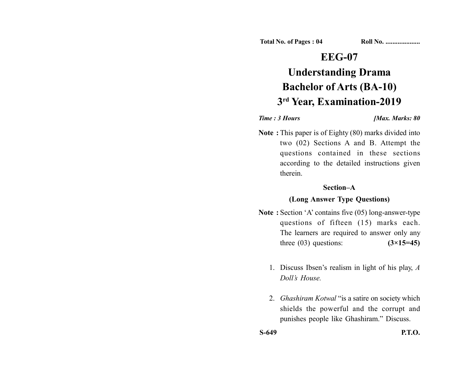**Total No. of Pages : 04 Roll No. ...................** 

## **EEG-07**

# **Understanding Drama Bachelor of Arts (BA-10) 3rd Year, Examination-2019**

#### *Time : 3 Hours <i>Max. Marks: 80*

**Note :** This paper is of Eighty (80) marks divided into two (02) Sections A and B. Attempt the questions contained in these sections according to the detailed instructions given therein.

#### **Section–A**

### **(Long Answer Type Questions)**

- Note : Section 'A' contains five (05) long-answer-type questions of fifteen (15) marks each. The learners are required to answer only any three (03) questions: **(3×15=45)**
	- 1. Discuss Ibsen's realism in light of his play, *A Doll's House.*
	- 2. *Ghashiram Kotwal* "is a satire on society which shields the powerful and the corrupt and punishes people like Ghashiram." Discuss.